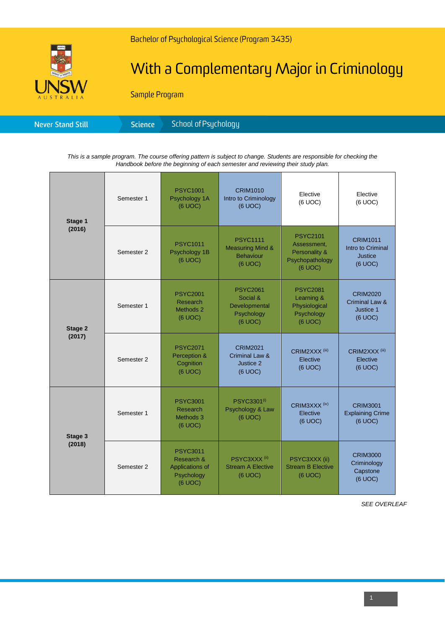

# With a Complementary Major in Criminology

Sample Program

| Science <sup>1</sup><br><b>Never Stand Still</b> | School of Psychology <b>S</b> |
|--------------------------------------------------|-------------------------------|
|--------------------------------------------------|-------------------------------|

*This is a sample program. The course offering pattern is subject to change. Students are responsible for checking the Handbook before the beginning of each semester and reviewing their study plan.*

| Stage 1<br>(2016) | Semester 1 | <b>PSYC1001</b><br>Psychology 1A<br>(6 UOC)                               | <b>CRIM1010</b><br>Intro to Criminology<br>(6 UOC)                            | Elective<br>(6 UOC)                                                           | Elective<br>(6 UOC)                                               |
|-------------------|------------|---------------------------------------------------------------------------|-------------------------------------------------------------------------------|-------------------------------------------------------------------------------|-------------------------------------------------------------------|
|                   | Semester 2 | <b>PSYC1011</b><br>Psychology 1B<br>(6 UOC)                               | <b>PSYC1111</b><br><b>Measuring Mind &amp;</b><br><b>Behaviour</b><br>(6 UOC) | <b>PSYC2101</b><br>Assessment.<br>Personality &<br>Psychopathology<br>(6 UOC) | <b>CRIM1011</b><br>Intro to Criminal<br><b>Justice</b><br>(6 UOC) |
| Stage 2<br>(2017) | Semester 1 | <b>PSYC2001</b><br>Research<br>Methods 2<br>(6 UOC)                       | <b>PSYC2061</b><br>Social &<br>Developmental<br>Psychology<br>(6 UOC)         | <b>PSYC2081</b><br>Learning &<br>Physiological<br>Psychology<br>(6 UOC)       | <b>CRIM2020</b><br>Criminal Law &<br>Justice 1<br>(6 UOC)         |
|                   | Semester 2 | <b>PSYC2071</b><br>Perception &<br>Cognition<br>(6 UOC)                   | <b>CRIM2021</b><br><b>Criminal Law &amp;</b><br>Justice 2<br>(6 UOC)          | CRIM2XXX <sup>(iii)</sup><br>Elective<br>(6 UOC)                              | CRIM2XXX <sup>(iii)</sup><br>Elective<br>(6 UOC)                  |
| Stage 3<br>(2018) | Semester 1 | <b>PSYC3001</b><br>Research<br>Methods 3<br>(6 UOC)                       | PSYC3301 <sup>(i)</sup><br>Psychology & Law<br>(6 UOC)                        | CRIM3XXX <sup>(iv)</sup><br>Elective<br>(6 UOC)                               | <b>CRIM3001</b><br><b>Explaining Crime</b><br>(6 UOC)             |
|                   | Semester 2 | <b>PSYC3011</b><br>Research &<br>Applications of<br>Psychology<br>(6 UOC) | PSYC3XXX <sup>(ii)</sup><br><b>Stream A Elective</b><br>(6 UOC)               | PSYC3XXX (ii)<br><b>Stream B Elective</b><br>(6 UOC)                          | <b>CRIM3000</b><br>Criminology<br>Capstone<br>(6 UOC)             |

*SEE OVERLEAF*